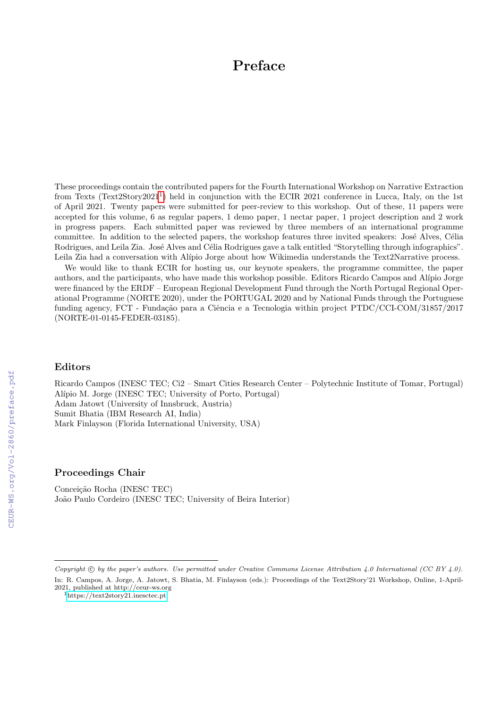# Preface

These proceedings contain the contributed papers for the Fourth International Workshop on Narrative Extraction from Texts (Text2Story202[1](#page-0-0)<sup>1</sup>) held in conjunction with the ECIR 2021 conference in Lucca, Italy, on the 1st of April 2021. Twenty papers were submitted for peer-review to this workshop. Out of these, 11 papers were accepted for this volume, 6 as regular papers, 1 demo paper, 1 nectar paper, 1 project description and 2 work in progress papers. Each submitted paper was reviewed by three members of an international programme committee. In addition to the selected papers, the workshop features three invited speakers: José Alves, Célia Rodrigues, and Leila Zia. José Alves and Célia Rodrigues gave a talk entitled "Storytelling through infographics". Leila Zia had a conversation with Alípio Jorge about how Wikimedia understands the Text2Narrative process.

We would like to thank ECIR for hosting us, our keynote speakers, the programme committee, the paper authors, and the participants, who have made this workshop possible. Editors Ricardo Campos and Alípio Jorge were financed by the ERDF – European Regional Development Fund through the North Portugal Regional Operational Programme (NORTE 2020), under the PORTUGAL 2020 and by National Funds through the Portuguese funding agency, FCT - Fundação para a Ciência e a Tecnologia within project PTDC/CCI-COM/31857/2017 (NORTE-01-0145-FEDER-03185).

### Editors

Ricardo Campos (INESC TEC; Ci2 – Smart Cities Research Center – Polytechnic Institute of Tomar, Portugal) Alípio M. Jorge (INESC TEC; University of Porto, Portugal) Adam Jatowt (University of Innsbruck, Austria) Sumit Bhatia (IBM Research AI, India) Mark Finlayson (Florida International University, USA)

#### Proceedings Chair

Conceição Rocha (INESC TEC) João Paulo Cordeiro (INESC TEC; University of Beira Interior)

Copyright  $\odot$  by the paper's authors. Use permitted under Creative Commons License Attribution 4.0 International (CC BY 4.0). In: R. Campos, A. Jorge, A. Jatowt, S. Bhatia, M. Finlayson (eds.): Proceedings of the Text2Story'21 Workshop, Online, 1-April-2021, published at http://ceur-ws.org

<span id="page-0-0"></span><sup>1</sup><https://text2story21.inesctec.pt>